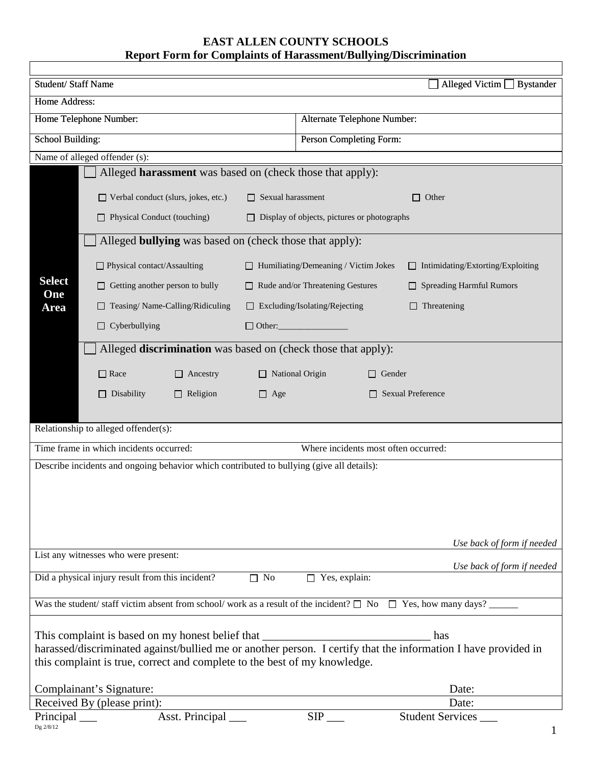## **EAST ALLEN COUNTY SCHOOLS Report Form for Complaints of Harassment/Bullying/Discrimination**

 $\mathsf{r}$ 

| Student/Staff Name                                                                                                                                                                          |                                                                                           |                          |                                             | Alleged Victim $\Box$ Bystander          |  |  |  |
|---------------------------------------------------------------------------------------------------------------------------------------------------------------------------------------------|-------------------------------------------------------------------------------------------|--------------------------|---------------------------------------------|------------------------------------------|--|--|--|
| Home Address:                                                                                                                                                                               |                                                                                           |                          |                                             |                                          |  |  |  |
|                                                                                                                                                                                             | Home Telephone Number:                                                                    |                          | Alternate Telephone Number:                 |                                          |  |  |  |
| School Building:                                                                                                                                                                            |                                                                                           |                          | Person Completing Form:                     |                                          |  |  |  |
|                                                                                                                                                                                             | Name of alleged offender (s):                                                             |                          |                                             |                                          |  |  |  |
|                                                                                                                                                                                             | Alleged <b>harassment</b> was based on (check those that apply):                          |                          |                                             |                                          |  |  |  |
|                                                                                                                                                                                             |                                                                                           |                          |                                             |                                          |  |  |  |
|                                                                                                                                                                                             | □ Verbal conduct (slurs, jokes, etc.)                                                     | $\Box$ Sexual harassment |                                             | Other                                    |  |  |  |
|                                                                                                                                                                                             | $\Box$ Physical Conduct (touching)<br>$\Box$ Display of objects, pictures or photographs  |                          |                                             |                                          |  |  |  |
|                                                                                                                                                                                             | Alleged <b>bullying</b> was based on (check those that apply):                            |                          |                                             |                                          |  |  |  |
| <b>Select</b>                                                                                                                                                                               | □ Physical contact/Assaulting                                                             |                          | $\Box$ Humiliating/Demeaning / Victim Jokes | $\Box$ Intimidating/Extorting/Exploiting |  |  |  |
|                                                                                                                                                                                             | Getting another person to bully                                                           |                          | $\Box$ Rude and/or Threatening Gestures     | <b>Spreading Harmful Rumors</b>          |  |  |  |
| One<br><b>Area</b>                                                                                                                                                                          | Teasing/Name-Calling/Ridiculing                                                           |                          | $\Box$ Excluding/Isolating/Rejecting        | Threatening                              |  |  |  |
|                                                                                                                                                                                             | Cyberbullying<br>$\Box$                                                                   | $\Box$ Other:            |                                             |                                          |  |  |  |
|                                                                                                                                                                                             | Alleged <b>discrimination</b> was based on (check those that apply):                      |                          |                                             |                                          |  |  |  |
|                                                                                                                                                                                             |                                                                                           |                          |                                             |                                          |  |  |  |
|                                                                                                                                                                                             | $\Box$ Race<br>$\Box$ Ancestry                                                            | $\Box$ National Origin   | $\Box$ Gender                               |                                          |  |  |  |
|                                                                                                                                                                                             | $\Box$ Disability<br>$\Box$ Religion                                                      | $\Box$ Age               |                                             | <b>Sexual Preference</b>                 |  |  |  |
|                                                                                                                                                                                             |                                                                                           |                          |                                             |                                          |  |  |  |
|                                                                                                                                                                                             | Relationship to alleged offender(s):                                                      |                          |                                             |                                          |  |  |  |
|                                                                                                                                                                                             | Time frame in which incidents occurred:                                                   |                          | Where incidents most often occurred:        |                                          |  |  |  |
|                                                                                                                                                                                             | Describe incidents and ongoing behavior which contributed to bullying (give all details): |                          |                                             |                                          |  |  |  |
|                                                                                                                                                                                             |                                                                                           |                          |                                             |                                          |  |  |  |
|                                                                                                                                                                                             |                                                                                           |                          |                                             |                                          |  |  |  |
|                                                                                                                                                                                             |                                                                                           |                          |                                             |                                          |  |  |  |
|                                                                                                                                                                                             |                                                                                           |                          |                                             | Use back of form if needed               |  |  |  |
|                                                                                                                                                                                             | List any witnesses who were present:                                                      |                          |                                             | Use back of form if needed               |  |  |  |
|                                                                                                                                                                                             | Did a physical injury result from this incident?                                          | $\Box$ No                | $\Box$ Yes, explain:                        |                                          |  |  |  |
| Was the student/staff victim absent from school/work as a result of the incident? $\square$ No $\square$ Yes, how many days?                                                                |                                                                                           |                          |                                             |                                          |  |  |  |
|                                                                                                                                                                                             |                                                                                           |                          |                                             |                                          |  |  |  |
| This complaint is based on my honest belief that<br>has                                                                                                                                     |                                                                                           |                          |                                             |                                          |  |  |  |
| harassed/discriminated against/bullied me or another person. I certify that the information I have provided in<br>this complaint is true, correct and complete to the best of my knowledge. |                                                                                           |                          |                                             |                                          |  |  |  |
|                                                                                                                                                                                             |                                                                                           |                          |                                             |                                          |  |  |  |
| Complainant's Signature:<br>Received By (please print):                                                                                                                                     |                                                                                           |                          |                                             | Date:<br>Date:                           |  |  |  |
| Principal $\_\_$                                                                                                                                                                            | Asst. Principal                                                                           |                          | $SIP$ <sub>___</sub>                        | Student Services                         |  |  |  |
| Dg 2/8/12                                                                                                                                                                                   |                                                                                           |                          |                                             |                                          |  |  |  |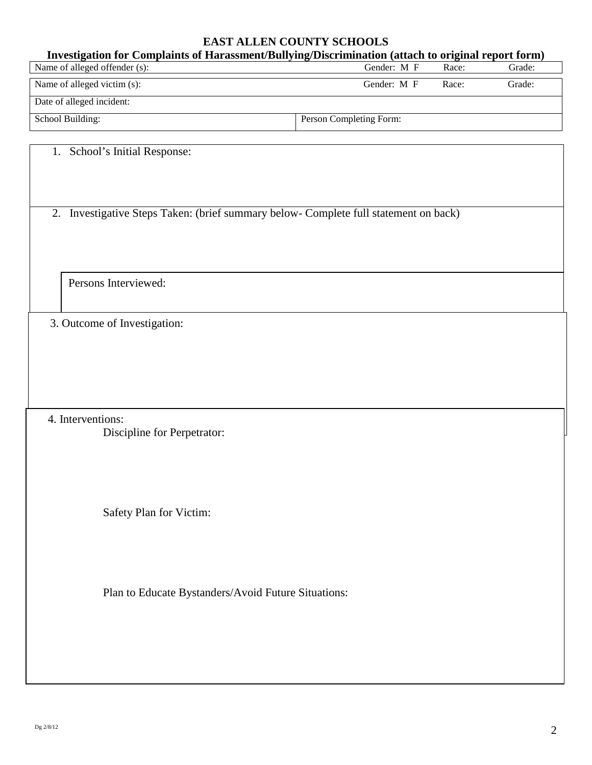## **EAST ALLEN COUNTY SCHOOLS**

| Investigation for Complaints of Harassment/Bullying/Discrimination (attach to original report form) |                         |       |        |  |  |  |  |
|-----------------------------------------------------------------------------------------------------|-------------------------|-------|--------|--|--|--|--|
| Name of alleged offender (s):                                                                       | Gender: M F             | Race: | Grade: |  |  |  |  |
| Name of alleged victim (s):                                                                         | Gender: M F             | Race: | Grade: |  |  |  |  |
| Date of alleged incident:                                                                           |                         |       |        |  |  |  |  |
| School Building:                                                                                    | Person Completing Form: |       |        |  |  |  |  |

| 1. School's Initial Response:                                                        |
|--------------------------------------------------------------------------------------|
| 2. Investigative Steps Taken: (brief summary below- Complete full statement on back) |
| Persons Interviewed:                                                                 |
| 3. Outcome of Investigation:                                                         |
|                                                                                      |
| 4. Interventions:<br>Discipline for Perpetrator:                                     |
| Safety Plan for Victim:                                                              |
| Plan to Educate Bystanders/Avoid Future Situations:                                  |